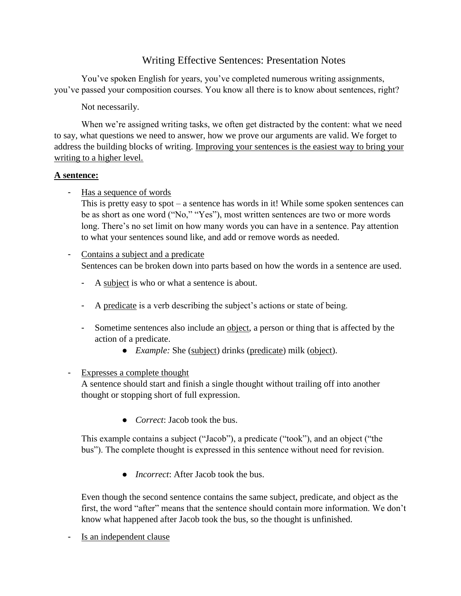# Writing Effective Sentences: Presentation Notes

You've spoken English for years, you've completed numerous writing assignments, you've passed your composition courses. You know all there is to know about sentences, right?

Not necessarily.

When we're assigned writing tasks, we often get distracted by the content: what we need to say, what questions we need to answer, how we prove our arguments are valid. We forget to address the building blocks of writing. Improving your sentences is the easiest way to bring your writing to a higher level.

### **A sentence:**

- Has a sequence of words

This is pretty easy to spot – a sentence has words in it! While some spoken sentences can be as short as one word ("No," "Yes"), most written sentences are two or more words long. There's no set limit on how many words you can have in a sentence. Pay attention to what your sentences sound like, and add or remove words as needed.

# - Contains a subject and a predicate Sentences can be broken down into parts based on how the words in a sentence are used.

- A subject is who or what a sentence is about.
- A predicate is a verb describing the subject's actions or state of being.
- Sometime sentences also include an object, a person or thing that is affected by the action of a predicate.
	- *Example:* She (subject) drinks (predicate) milk (object).

### - Expresses a complete thought

A sentence should start and finish a single thought without trailing off into another thought or stopping short of full expression.

● *Correct*: Jacob took the bus.

This example contains a subject ("Jacob"), a predicate ("took"), and an object ("the bus"). The complete thought is expressed in this sentence without need for revision.

● *Incorrect*: After Jacob took the bus.

Even though the second sentence contains the same subject, predicate, and object as the first, the word "after" means that the sentence should contain more information. We don't know what happened after Jacob took the bus, so the thought is unfinished.

- Is an independent clause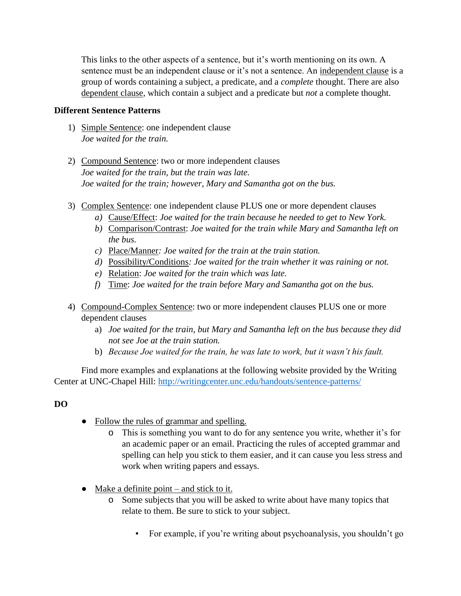This links to the other aspects of a sentence, but it's worth mentioning on its own. A sentence must be an independent clause or it's not a sentence. An independent clause is a group of words containing a subject, a predicate, and a *complete* thought. There are also dependent clause, which contain a subject and a predicate but *not* a complete thought.

#### **Different Sentence Patterns**

- 1) Simple Sentence: one independent clause *Joe waited for the train.*
- 2) Compound Sentence: two or more independent clauses *Joe waited for the train, but the train was late. Joe waited for the train; however, Mary and Samantha got on the bus.*
- 3) Complex Sentence: one independent clause PLUS one or more dependent clauses
	- *a)* Cause/Effect: *Joe waited for the train because he needed to get to New York.*
	- *b)* Comparison/Contrast: *Joe waited for the train while Mary and Samantha left on the bus.*
	- *c)* Place/Manner*: Joe waited for the train at the train station.*
	- *d)* Possibility/Conditions*: Joe waited for the train whether it was raining or not.*
	- *e)* Relation: *Joe waited for the train which was late.*
	- *f)* Time: *Joe waited for the train before Mary and Samantha got on the bus.*
- 4) Compound-Complex Sentence: two or more independent clauses PLUS one or more dependent clauses
	- a) *Joe waited for the train, but Mary and Samantha left on the bus because they did not see Joe at the train station.*
	- b) *Because Joe waited for the train, he was late to work, but it wasn't his fault.*

Find more examples and explanations at the following website provided by the Writing Center at UNC-Chapel Hill:<http://writingcenter.unc.edu/handouts/sentence-patterns/>

## **DO**

- Follow the rules of grammar and spelling.
	- o This is something you want to do for any sentence you write, whether it's for an academic paper or an email. Practicing the rules of accepted grammar and spelling can help you stick to them easier, and it can cause you less stress and work when writing papers and essays.
- $\bullet$  Make a definite point and stick to it.
	- o Some subjects that you will be asked to write about have many topics that relate to them. Be sure to stick to your subject.
		- For example, if you're writing about psychoanalysis, you shouldn't go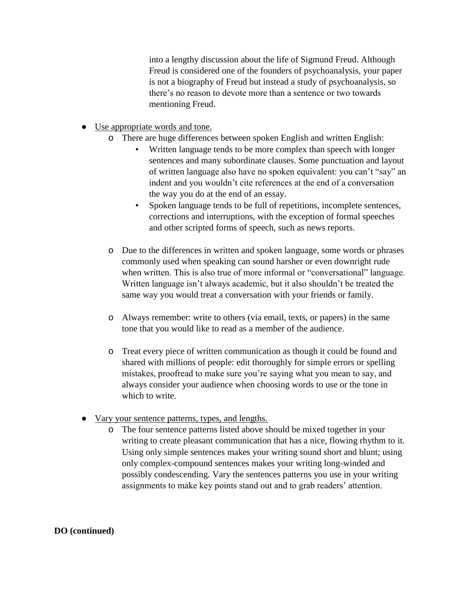into a lengthy discussion about the life of Sigmund Freud. Although Freud is considered one of the founders of psychoanalysis, your paper is not a biography of Freud but instead a study of psychoanalysis, so there's no reason to devote more than a sentence or two towards mentioning Freud.

- Use appropriate words and tone.
	- o There are huge differences between spoken English and written English:
		- Written language tends to be more complex than speech with longer sentences and many subordinate clauses. Some punctuation and layout of written language also have no spoken equivalent: you can't "say" an indent and you wouldn't cite references at the end of a conversation the way you do at the end of an essay.
		- Spoken language tends to be full of repetitions, incomplete sentences, corrections and interruptions, with the exception of formal speeches and other scripted forms of speech, such as news reports.
	- o Due to the differences in written and spoken language, some words or phrases commonly used when speaking can sound harsher or even downright rude when written. This is also true of more informal or "conversational" language. Written language isn't always academic, but it also shouldn't be treated the same way you would treat a conversation with your friends or family.
	- o Always remember: write to others (via email, texts, or papers) in the same tone that you would like to read as a member of the audience.
	- o Treat every piece of written communication as though it could be found and shared with millions of people: edit thoroughly for simple errors or spelling mistakes, proofread to make sure you're saying what you mean to say, and always consider your audience when choosing words to use or the tone in which to write.
- Vary your sentence patterns, types, and lengths.
	- o The four sentence patterns listed above should be mixed together in your writing to create pleasant communication that has a nice, flowing rhythm to it. Using only simple sentences makes your writing sound short and blunt; using only complex-compound sentences makes your writing long-winded and possibly condescending. Vary the sentences patterns you use in your writing assignments to make key points stand out and to grab readers' attention.

**DO (continued)**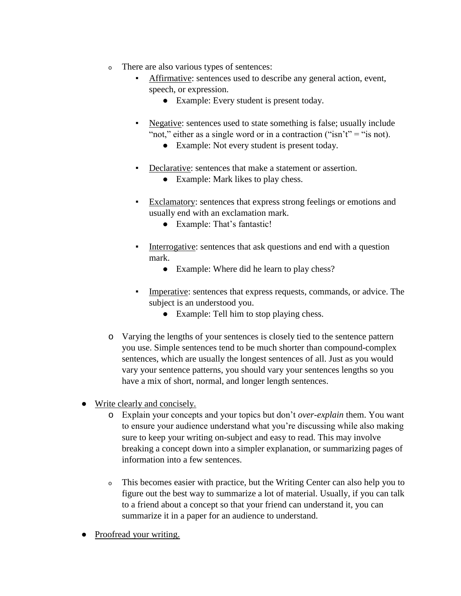- <sup>o</sup> There are also various types of sentences:
	- Affirmative: sentences used to describe any general action, event, speech, or expression.
		- Example: Every student is present today.
	- Negative: sentences used to state something is false; usually include "not," either as a single word or in a contraction ("isn't" = "is not).
		- Example: Not every student is present today.
	- Declarative: sentences that make a statement or assertion.
		- Example: Mark likes to play chess.
	- Exclamatory: sentences that express strong feelings or emotions and usually end with an exclamation mark.
		- Example: That's fantastic!
	- Interrogative: sentences that ask questions and end with a question mark.
		- Example: Where did he learn to play chess?
	- Imperative: sentences that express requests, commands, or advice. The subject is an understood you.
		- Example: Tell him to stop playing chess.
- o Varying the lengths of your sentences is closely tied to the sentence pattern you use. Simple sentences tend to be much shorter than compound-complex sentences, which are usually the longest sentences of all. Just as you would vary your sentence patterns, you should vary your sentences lengths so you have a mix of short, normal, and longer length sentences.
- Write clearly and concisely.
	- o Explain your concepts and your topics but don't *over-explain* them. You want to ensure your audience understand what you're discussing while also making sure to keep your writing on-subject and easy to read. This may involve breaking a concept down into a simpler explanation, or summarizing pages of information into a few sentences.
	- <sup>o</sup> This becomes easier with practice, but the Writing Center can also help you to figure out the best way to summarize a lot of material. Usually, if you can talk to a friend about a concept so that your friend can understand it, you can summarize it in a paper for an audience to understand.
- Proofread your writing.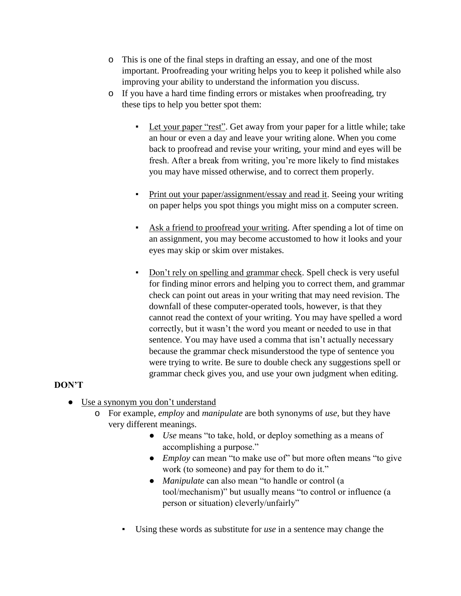- o This is one of the final steps in drafting an essay, and one of the most important. Proofreading your writing helps you to keep it polished while also improving your ability to understand the information you discuss.
- o If you have a hard time finding errors or mistakes when proofreading, try these tips to help you better spot them:
	- Let your paper "rest". Get away from your paper for a little while; take an hour or even a day and leave your writing alone. When you come back to proofread and revise your writing, your mind and eyes will be fresh. After a break from writing, you're more likely to find mistakes you may have missed otherwise, and to correct them properly.
	- Print out your paper/assignment/essay and read it. Seeing your writing on paper helps you spot things you might miss on a computer screen.
	- Ask a friend to proofread your writing. After spending a lot of time on an assignment, you may become accustomed to how it looks and your eyes may skip or skim over mistakes.
	- Don't rely on spelling and grammar check. Spell check is very useful for finding minor errors and helping you to correct them, and grammar check can point out areas in your writing that may need revision. The downfall of these computer-operated tools, however, is that they cannot read the context of your writing. You may have spelled a word correctly, but it wasn't the word you meant or needed to use in that sentence. You may have used a comma that isn't actually necessary because the grammar check misunderstood the type of sentence you were trying to write. Be sure to double check any suggestions spell or grammar check gives you, and use your own judgment when editing.

## **DON'T**

- Use a synonym you don't understand
	- o For example, *employ* and *manipulate* are both synonyms of *use*, but they have very different meanings.
		- *Use* means "to take, hold, or deploy something as a means of accomplishing a purpose."
		- *Employ* can mean "to make use of" but more often means "to give work (to someone) and pay for them to do it."
		- *Manipulate* can also mean "to handle or control (a tool/mechanism)" but usually means "to control or influence (a person or situation) cleverly/unfairly"
		- Using these words as substitute for *use* in a sentence may change the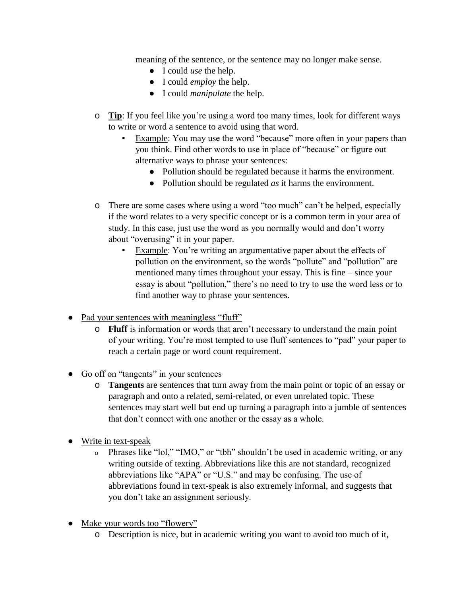meaning of the sentence, or the sentence may no longer make sense.

- I could *use* the help.
- I could *employ* the help.
- I could *manipulate* the help.
- o **Tip**: If you feel like you're using a word too many times, look for different ways to write or word a sentence to avoid using that word.
	- Example: You may use the word "because" more often in your papers than you think. Find other words to use in place of "because" or figure out alternative ways to phrase your sentences:
		- Pollution should be regulated because it harms the environment.
		- Pollution should be regulated *as* it harms the environment.
- o There are some cases where using a word "too much" can't be helped, especially if the word relates to a very specific concept or is a common term in your area of study. In this case, just use the word as you normally would and don't worry about "overusing" it in your paper.
	- Example: You're writing an argumentative paper about the effects of pollution on the environment, so the words "pollute" and "pollution" are mentioned many times throughout your essay. This is fine – since your essay is about "pollution," there's no need to try to use the word less or to find another way to phrase your sentences.
- Pad your sentences with meaningless "fluff"
	- o **Fluff** is information or words that aren't necessary to understand the main point of your writing. You're most tempted to use fluff sentences to "pad" your paper to reach a certain page or word count requirement.
- Go off on "tangents" in your sentences
	- o **Tangents** are sentences that turn away from the main point or topic of an essay or paragraph and onto a related, semi-related, or even unrelated topic. These sentences may start well but end up turning a paragraph into a jumble of sentences that don't connect with one another or the essay as a whole.
- Write in text-speak
	- <sup>o</sup> Phrases like "lol," "IMO," or "tbh" shouldn't be used in academic writing, or any writing outside of texting. Abbreviations like this are not standard, recognized abbreviations like "APA" or "U.S." and may be confusing. The use of abbreviations found in text-speak is also extremely informal, and suggests that you don't take an assignment seriously.
- Make your words too "flowery"
	- o Description is nice, but in academic writing you want to avoid too much of it,